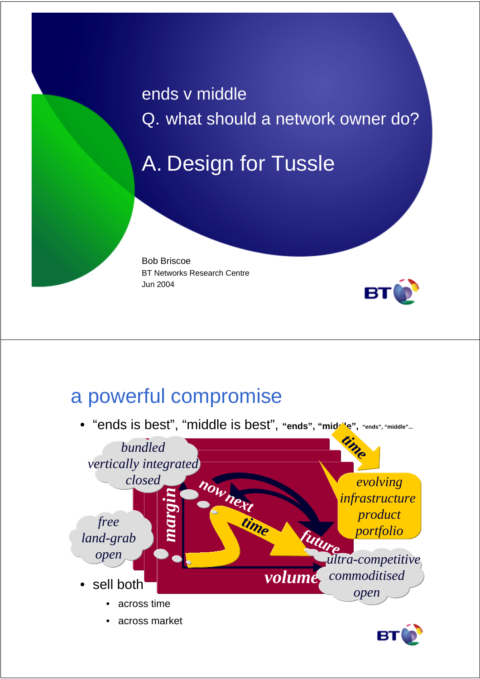ends v middle Q. what should a network owner do?

# A. Design for Tussle

Bob Briscoe BT Networks Research Centre Jun 2004



### a powerful compromise

• "ends is best", "middle is best", **"ends", "middle", "ends", "middle"...**



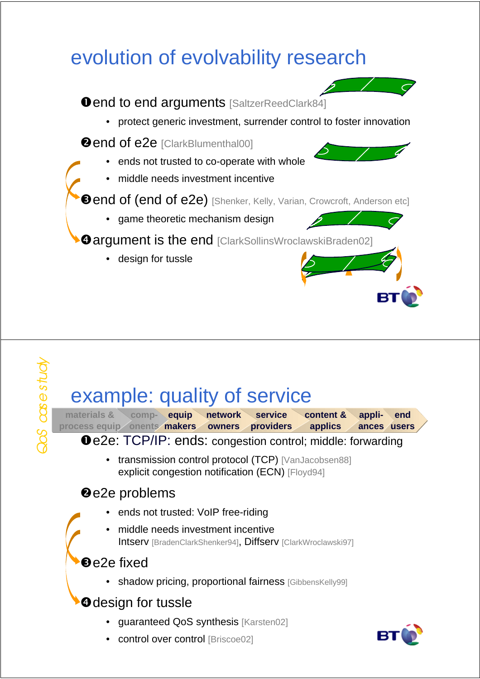# evolution of evolvability research



# example: quality of service

**materials & comp-equip network service process equip onents makers owners providers content & applics appliances usersend**

**O** e2e: TCP/IP: ends: congestion control; middle: forwarding

• transmission control protocol (TCP) [VanJacobsen88] explicit congestion notification (ECN) [Floyd94]

#### **@e2e problems**

- ends not trusted: VoIP free-riding
- middle needs investment incentive Intserv [BradenClarkShenker94], Diffserv [ClarkWroclawski97]

#### **Be2e fixed**

• shadow pricing, proportional fairness [GibbensKelly99]

#### **O**design for tussle

- guaranteed QoS synthesis [Karsten02]
- control over control [Briscoe02]

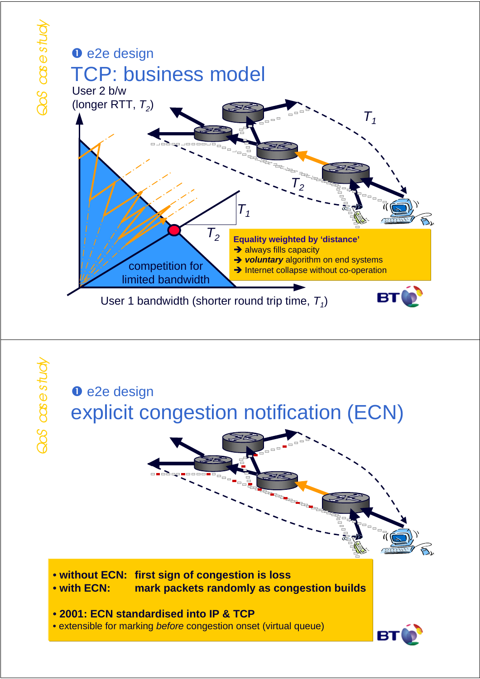

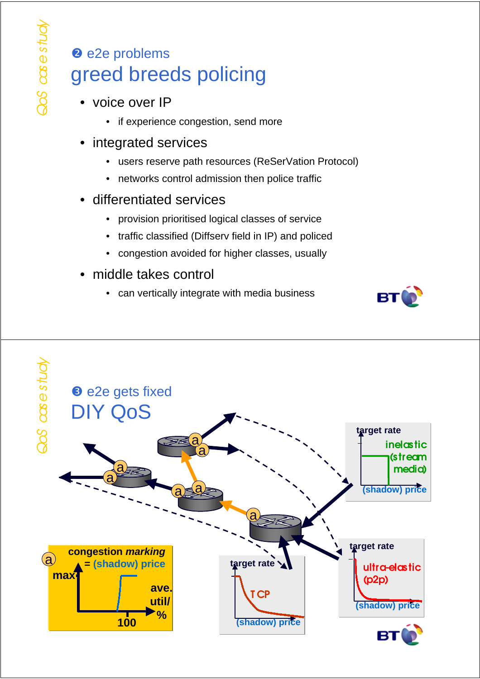### <sup>2</sup> e2e problems greed breeds policing

- voice over IP
	- if experience congestion, send more
- integrated services
	- users reserve path resources (ReSerVation Protocol)
	- networks control admission then police traffic
- differentiated services
	- provision prioritised logical classes of service
	- traffic classified (Diffserv field in IP) and policed
	- congestion avoided for higher classes, usually
- middle takes control
	- can vertically integrate with media business



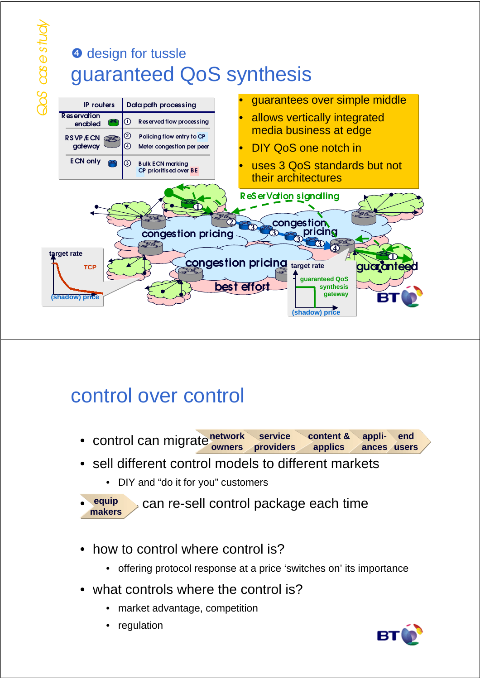# **<sup>o</sup>** design for tussle guaranteed QoS synthesis



# control over control

- **•** control can migrate network **owners service providers content & applics appliances users end**
- sell different control models to different markets
	- DIY and "do it for you" customers

```
can re-sell control package each time
equip
makers
```
- how to control where control is?
	- offering protocol response at a price 'switches on' its importance
- what controls where the control is?
	- market advantage, competition
	- regulation

•

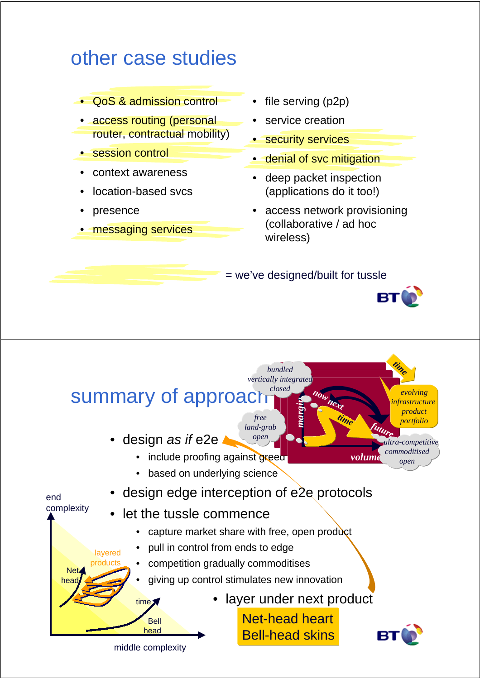### other case studies

- QoS & admission control
- access routing (personal router, contractual mobility)
- **session control**
- context awareness
- location-based svcs
- presence
- messaging services
- file serving (p2p)
- service creation
- security services
- denial of svc mitigation
- deep packet inspection (applications do it too!)
- access network provisioning (collaborative / ad hoc wireless)

= we've designed/built for tussle